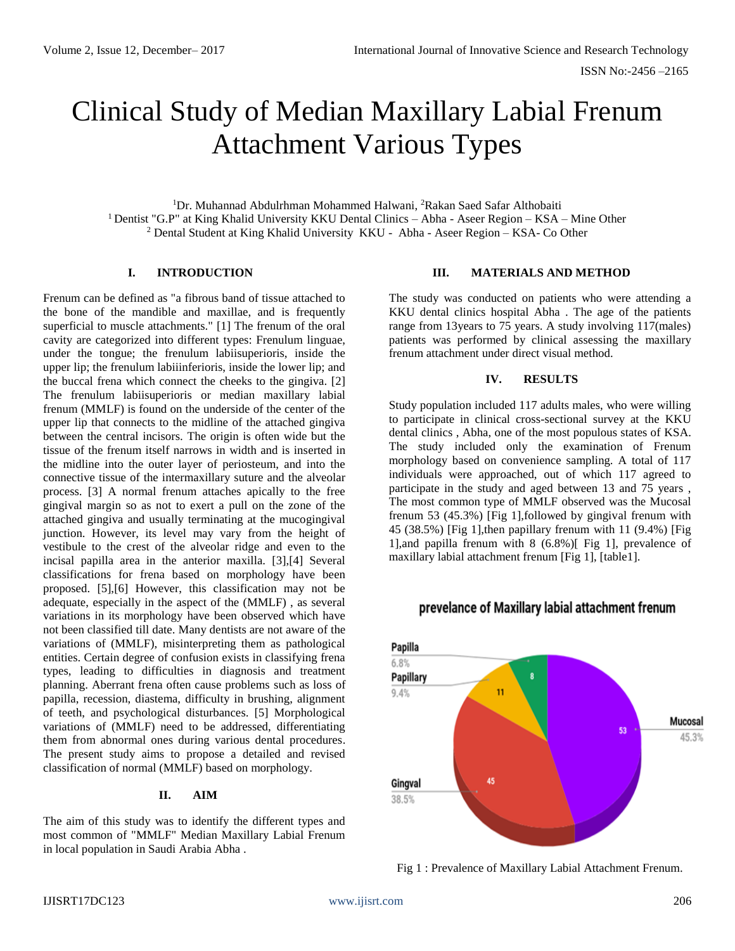# Clinical Study of Median Maxillary Labial Frenum Attachment Various Types

<sup>1</sup>Dr. Muhannad Abdulrhman Mohammed Halwani, <sup>2</sup>Rakan Saed Safar Althobaiti <sup>1</sup> Dentist "G.P" at King Khalid University KKU Dental Clinics - Abha - Aseer Region - KSA - Mine Other <sup>2</sup> Dental Student at King Khalid University KKU - Abha - Aseer Region – KSA- Co Other

## **I. INTRODUCTION**

Frenum can be defined as "a fibrous band of tissue attached to the bone of the mandible and maxillae, and is frequently superficial to muscle attachments." [1] The frenum of the oral cavity are categorized into different types: Frenulum linguae, under the tongue; the frenulum labiisuperioris, inside the upper lip; the frenulum labiiinferioris, inside the lower lip; and the buccal frena which connect the cheeks to the gingiva. [2] The frenulum labiisuperioris or median maxillary labial frenum (MMLF) is found on the underside of the center of the upper lip that connects to the midline of the attached gingiva between the central incisors. The origin is often wide but the tissue of the frenum itself narrows in width and is inserted in the midline into the outer layer of periosteum, and into the connective tissue of the intermaxillary suture and the alveolar process. [3] A normal frenum attaches apically to the free gingival margin so as not to exert a pull on the zone of the attached gingiva and usually terminating at the mucogingival junction. However, its level may vary from the height of vestibule to the crest of the alveolar ridge and even to the incisal papilla area in the anterior maxilla. [3],[4] Several classifications for frena based on morphology have been proposed. [5],[6] However, this classification may not be adequate, especially in the aspect of the (MMLF) , as several variations in its morphology have been observed which have not been classified till date. Many dentists are not aware of the variations of (MMLF), misinterpreting them as pathological entities. Certain degree of confusion exists in classifying frena types, leading to difficulties in diagnosis and treatment planning. Aberrant frena often cause problems such as loss of papilla, recession, diastema, difficulty in brushing, alignment of teeth, and psychological disturbances. [5] Morphological variations of (MMLF) need to be addressed, differentiating them from abnormal ones during various dental procedures. The present study aims to propose a detailed and revised classification of normal (MMLF) based on morphology.

# **II. AIM**

The aim of this study was to identify the different types and most common of "MMLF" Median Maxillary Labial Frenum in local population in Saudi Arabia Abha .

#### **III. MATERIALS AND METHOD**

The study was conducted on patients who were attending a KKU dental clinics hospital Abha . The age of the patients range from 13years to 75 years. A study involving 117(males) patients was performed by clinical assessing the maxillary frenum attachment under direct visual method.

# **IV. RESULTS**

Study population included 117 adults males, who were willing to participate in clinical cross-sectional survey at the KKU dental clinics , Abha, one of the most populous states of KSA. The study included only the examination of Frenum morphology based on convenience sampling. A total of 117 individuals were approached, out of which 117 agreed to participate in the study and aged between 13 and 75 years , The most common type of MMLF observed was the Mucosal frenum 53 (45.3%) [Fig 1],followed by gingival frenum with 45 (38.5%) [Fig 1],then papillary frenum with 11 (9.4%) [Fig 1],and papilla frenum with 8 (6.8%)[ Fig 1], prevalence of maxillary labial attachment frenum [Fig 1], [table1].



# prevelance of Maxillary labial attachment frenum

Fig 1 : Prevalence of Maxillary Labial Attachment Frenum.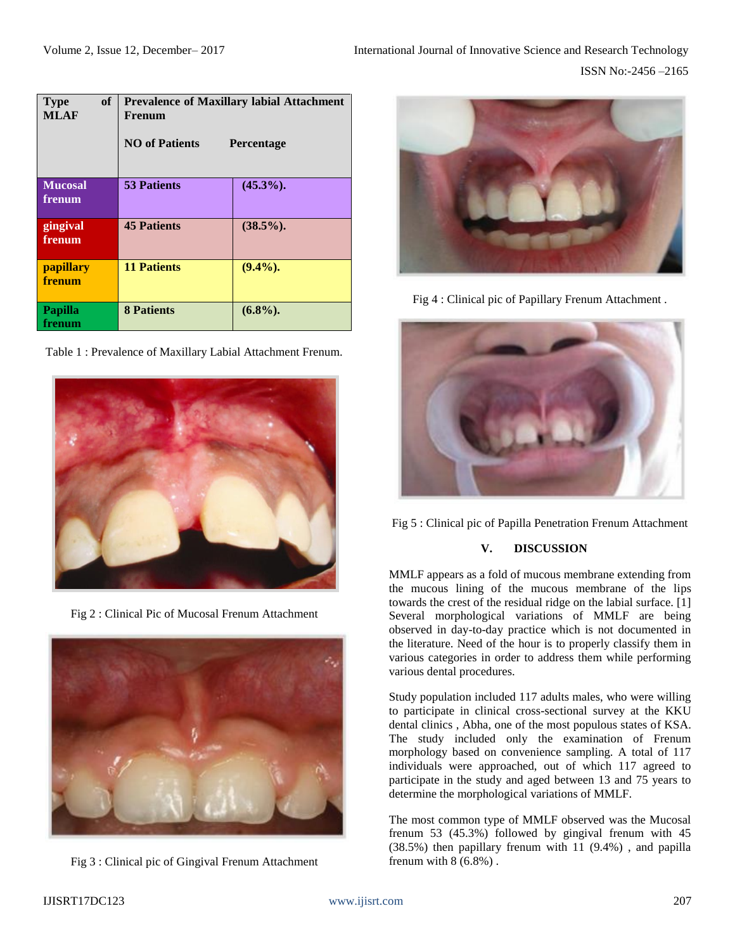| of<br><b>Type</b><br>MLAF | <b>Prevalence of Maxillary labial Attachment</b><br>Frenum<br><b>NO</b> of Patients<br><b>Percentage</b> |              |
|---------------------------|----------------------------------------------------------------------------------------------------------|--------------|
|                           |                                                                                                          |              |
| <b>Mucosal</b><br>frenum  | <b>53 Patients</b>                                                                                       | $(45.3\%)$ . |
| gingival<br>frenum        | <b>45 Patients</b>                                                                                       | $(38.5\%)$ . |
| papillary<br>frenum       | <b>11 Patients</b>                                                                                       | $(9.4\%)$ .  |
| Papilla<br>frenum         | <b>8 Patients</b>                                                                                        | $(6.8\%)$ .  |

Table 1 : Prevalence of Maxillary Labial Attachment Frenum.



Fig 2 : Clinical Pic of Mucosal Frenum Attachment







Fig 4 : Clinical pic of Papillary Frenum Attachment .



Fig 5 : Clinical pic of Papilla Penetration Frenum Attachment

# **V. DISCUSSION**

MMLF appears as a fold of mucous membrane extending from the mucous lining of the mucous membrane of the lips towards the crest of the residual ridge on the labial surface. [1] Several morphological variations of MMLF are being observed in day-to-day practice which is not documented in the literature. Need of the hour is to properly classify them in various categories in order to address them while performing various dental procedures.

Study population included 117 adults males, who were willing to participate in clinical cross-sectional survey at the KKU dental clinics , Abha, one of the most populous states of KSA. The study included only the examination of Frenum morphology based on convenience sampling. A total of 117 individuals were approached, out of which 117 agreed to participate in the study and aged between 13 and 75 years to determine the morphological variations of MMLF.

The most common type of MMLF observed was the Mucosal frenum 53 (45.3%) followed by gingival frenum with 45 (38.5%) then papillary frenum with 11 (9.4%) , and papilla frenum with  $8(6.8\%)$ .